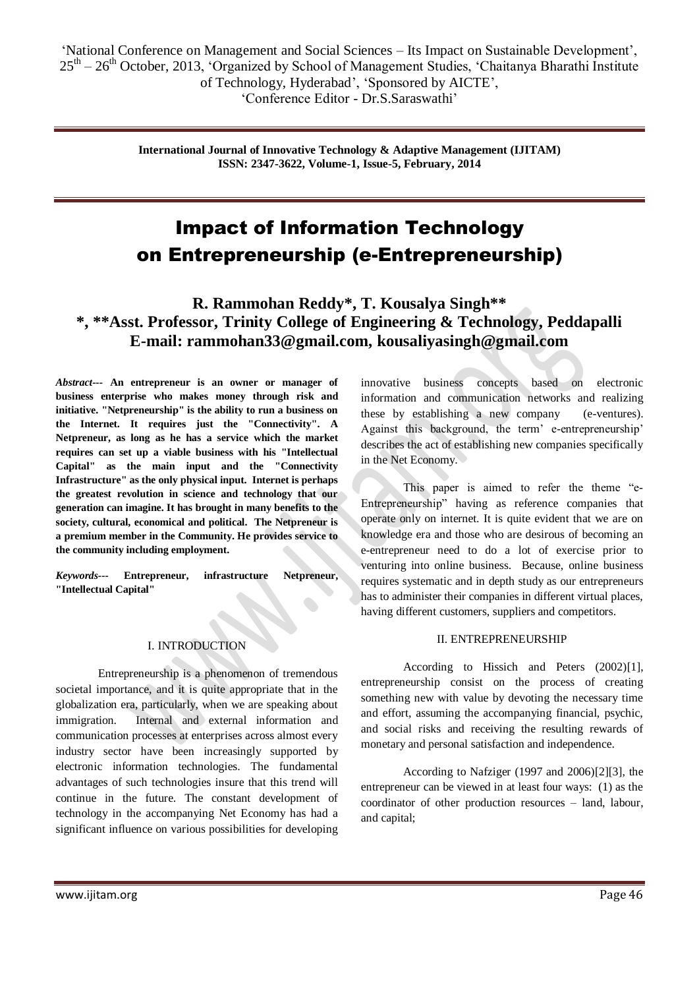# Impact of Information Technology on Entrepreneurship (e-Entrepreneurship)

# **R. Rammohan Reddy\*, T. Kousalya Singh\*\* \*, \*\*Asst. Professor, Trinity College of Engineering & Technology, Peddapalli E-mail: rammohan33@gmail.com, kousaliyasingh@gmail.com**

*Abstract---* **An entrepreneur is an owner or manager of business enterprise who makes money through risk and initiative. "Netpreneurship" is the ability to run a business on the Internet. It requires just the "Connectivity". A Netpreneur, as long as he has a service which the market requires can set up a viable business with his "Intellectual Capital" as the main input and the "Connectivity Infrastructure" as the only physical input. Internet is perhaps the greatest revolution in science and technology that our generation can imagine. It has brought in many benefits to the society, cultural, economical and political. The Netpreneur is a premium member in the Community. He provides service to the community including employment.** 

*Keywords---* **Entrepreneur, infrastructure Netpreneur, "Intellectual Capital"**

#### I. INTRODUCTION

Entrepreneurship is a phenomenon of tremendous societal importance, and it is quite appropriate that in the globalization era, particularly, when we are speaking about immigration. Internal and external information and communication processes at enterprises across almost every industry sector have been increasingly supported by electronic information technologies. The fundamental advantages of such technologies insure that this trend will continue in the future. The constant development of technology in the accompanying Net Economy has had a significant influence on various possibilities for developing innovative business concepts based on electronic information and communication networks and realizing these by establishing a new company (e-ventures). Against this background, the term' e-entrepreneurship' describes the act of establishing new companies specifically in the Net Economy.

This paper is aimed to refer the theme "e-Entrepreneurship" having as reference companies that operate only on internet. It is quite evident that we are on knowledge era and those who are desirous of becoming an e-entrepreneur need to do a lot of exercise prior to venturing into online business. Because, online business requires systematic and in depth study as our entrepreneurs has to administer their companies in different virtual places, having different customers, suppliers and competitors.

#### II. ENTREPRENEURSHIP

 According to Hissich and Peters (2002)[1], entrepreneurship consist on the process of creating something new with value by devoting the necessary time and effort, assuming the accompanying financial, psychic, and social risks and receiving the resulting rewards of monetary and personal satisfaction and independence.

According to Nafziger (1997 and 2006)[2][3], the entrepreneur can be viewed in at least four ways: (1) as the coordinator of other production resources – land, labour, and capital;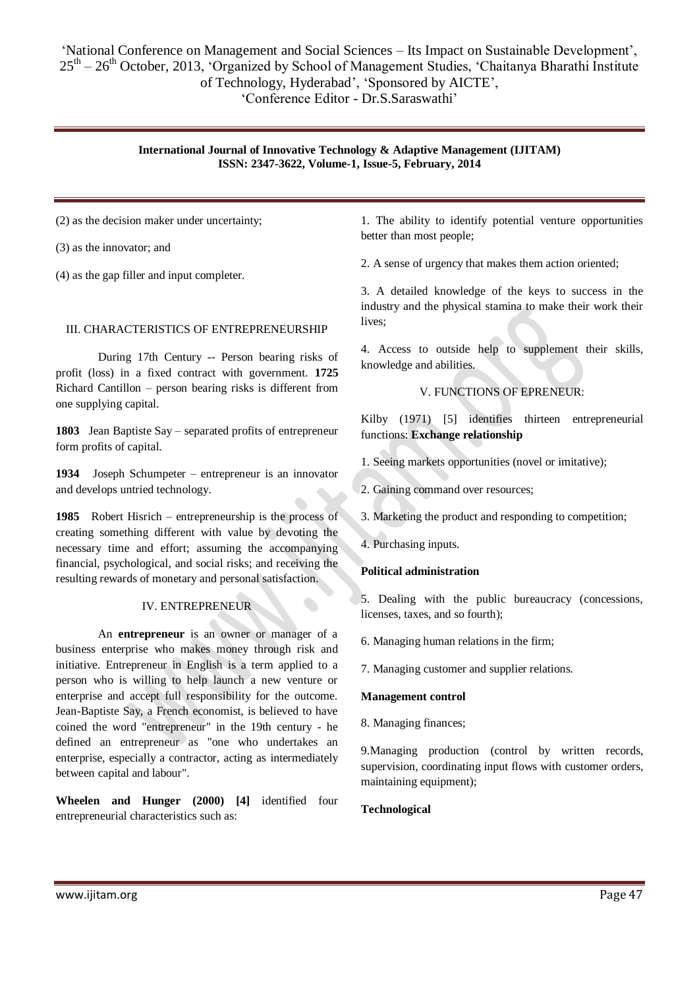(2) as the decision maker under uncertainty;

(3) as the innovator; and

(4) as the gap filler and input completer.

#### III. CHARACTERISTICS OF ENTREPRENEURSHIP

During 17th Century -- Person bearing risks of profit (loss) in a fixed contract with government. **1725** Richard Cantillon – person bearing risks is different from one supplying capital.

**1803** Jean Baptiste Say – separated profits of entrepreneur form profits of capital.

**1934** Joseph Schumpeter – entrepreneur is an innovator and develops untried technology.

**1985** Robert Hisrich – entrepreneurship is the process of creating something different with value by devoting the necessary time and effort; assuming the accompanying financial, psychological, and social risks; and receiving the resulting rewards of monetary and personal satisfaction.

# IV. ENTREPRENEUR

An **entrepreneur** is an owner or manager of a business enterprise who makes money through risk and initiative. Entrepreneur in English is a term applied to a person who is willing to help launch a new venture or enterprise and accept full responsibility for the outcome. Jean-Baptiste Say, a French economist, is believed to have coined the word "entrepreneur" in the 19th century - he defined an entrepreneur as "one who undertakes an enterprise, especially a contractor, acting as intermediately between capital and labour".

**Wheelen and Hunger (2000) [4]** identified four entrepreneurial characteristics such as:

1. The ability to identify potential venture opportunities better than most people;

2. A sense of urgency that makes them action oriented;

3. A detailed knowledge of the keys to success in the industry and the physical stamina to make their work their lives;

4. Access to outside help to supplement their skills, knowledge and abilities.

# V. FUNCTIONS OF EPRENEUR:

Kilby (1971) [5] identifies thirteen entrepreneurial functions: **Exchange relationship**

- 1. Seeing markets opportunities (novel or imitative);
- 2. Gaining command over resources;
- 3. Marketing the product and responding to competition;
- 4. Purchasing inputs.

# **Political administration**

5. Dealing with the public bureaucracy (concessions, licenses, taxes, and so fourth);

- 6. Managing human relations in the firm;
- 7. Managing customer and supplier relations.

#### **Management control**

8. Managing finances;

9.Managing production (control by written records, supervision, coordinating input flows with customer orders, maintaining equipment);

**Technological**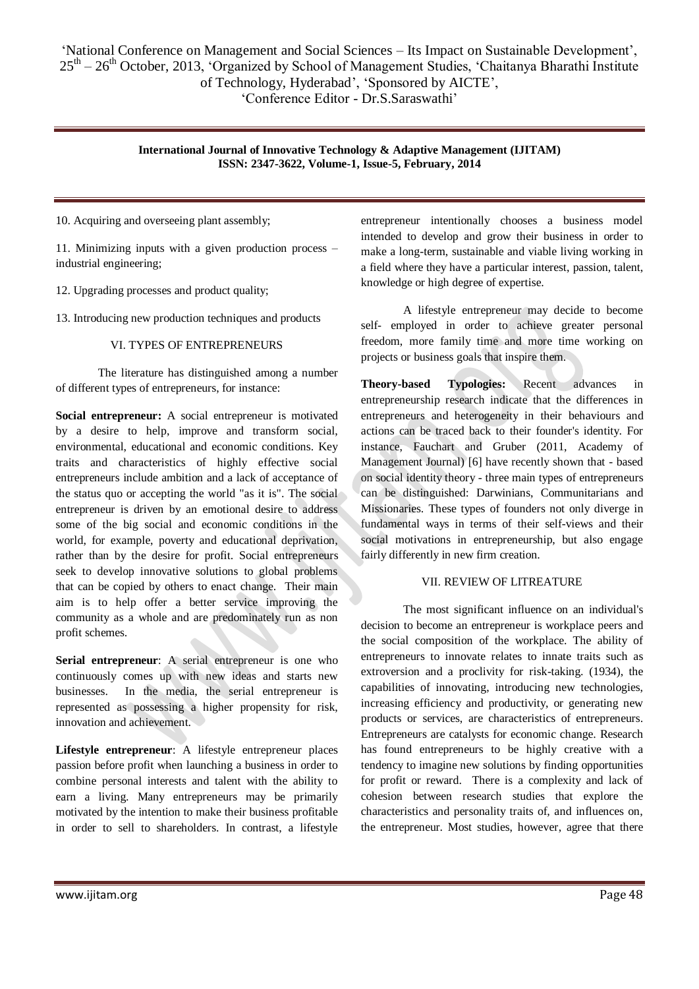10. Acquiring and overseeing plant assembly;

11. Minimizing inputs with a given production process – industrial engineering;

12. Upgrading processes and product quality;

13. Introducing new production techniques and products

#### VI. TYPES OF ENTREPRENEURS

The literature has distinguished among a number of different types of entrepreneurs, for instance:

**Social entrepreneur:** A social entrepreneur is motivated by a desire to help, improve and transform social, environmental, educational and economic conditions. Key traits and characteristics of highly effective social entrepreneurs include ambition and a lack of acceptance of the status quo or accepting the world "as it is". The social entrepreneur is driven by an emotional desire to address some of the big social and economic conditions in the world, for example, poverty and educational deprivation, rather than by the desire for profit. Social entrepreneurs seek to develop innovative solutions to global problems that can be copied by others to enact change. Their main aim is to help offer a better service improving the community as a whole and are predominately run as non profit schemes.

**Serial entrepreneur**: A serial entrepreneur is one who continuously comes up with new ideas and starts new businesses. In the media, the serial entrepreneur is represented as possessing a higher propensity for risk, innovation and achievement.

**Lifestyle entrepreneur**: A lifestyle entrepreneur places passion before profit when launching a business in order to combine personal interests and talent with the ability to earn a living. Many entrepreneurs may be primarily motivated by the intention to make their business profitable in order to sell to shareholders. In contrast, a lifestyle

entrepreneur intentionally chooses a business model intended to develop and grow their business in order to make a long-term, sustainable and viable living working in a field where they have a particular interest, passion, talent, knowledge or high degree of expertise.

A lifestyle entrepreneur may decide to become self- employed in order to achieve greater personal freedom, more family time and more time working on projects or business goals that inspire them.

**Theory-based Typologies:** Recent advances in entrepreneurship research indicate that the differences in entrepreneurs and heterogeneity in their behaviours and actions can be traced back to their founder's identity. For instance, Fauchart and Gruber (2011, Academy of Management Journal) [6] have recently shown that - based on social identity theory - three main types of entrepreneurs can be distinguished: Darwinians, Communitarians and Missionaries. These types of founders not only diverge in fundamental ways in terms of their self-views and their social motivations in entrepreneurship, but also engage fairly differently in new firm creation.

#### VII. REVIEW OF LITREATURE

The most significant influence on an individual's decision to become an entrepreneur is workplace peers and the social composition of the workplace. The ability of entrepreneurs to innovate relates to innate traits such as extroversion and a proclivity for risk-taking. (1934), the capabilities of innovating, introducing new technologies, increasing efficiency and productivity, or generating new products or services, are characteristics of entrepreneurs. Entrepreneurs are catalysts for economic change. Research has found entrepreneurs to be highly creative with a tendency to imagine new solutions by finding opportunities for profit or reward. There is a complexity and lack of cohesion between research studies that explore the characteristics and personality traits of, and influences on, the entrepreneur. Most studies, however, agree that there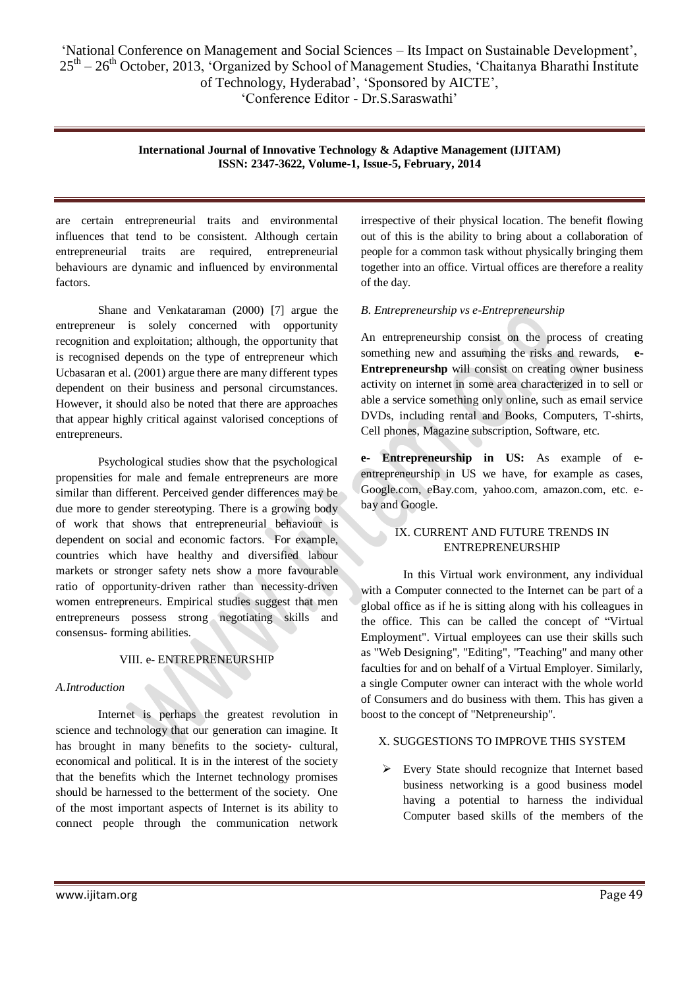are certain entrepreneurial traits and environmental influences that tend to be consistent. Although certain entrepreneurial traits are required, entrepreneurial behaviours are dynamic and influenced by environmental factors.

Shane and Venkataraman (2000) [7] argue the entrepreneur is solely concerned with opportunity recognition and exploitation; although, the opportunity that is recognised depends on the type of entrepreneur which Ucbasaran et al. (2001) argue there are many different types dependent on their business and personal circumstances. However, it should also be noted that there are approaches that appear highly critical against valorised conceptions of entrepreneurs.

Psychological studies show that the psychological propensities for male and female entrepreneurs are more similar than different. Perceived gender differences may be due more to gender stereotyping. There is a growing body of work that shows that entrepreneurial behaviour is dependent on social and economic factors. For example, countries which have healthy and diversified labour markets or stronger safety nets show a more favourable ratio of opportunity-driven rather than necessity-driven women entrepreneurs. Empirical studies suggest that men entrepreneurs possess strong negotiating skills and consensus- forming abilities.

# VIII. e- ENTREPRENEURSHIP

# *A.Introduction*

Internet is perhaps the greatest revolution in science and technology that our generation can imagine. It has brought in many benefits to the society- cultural, economical and political. It is in the interest of the society that the benefits which the Internet technology promises should be harnessed to the betterment of the society. One of the most important aspects of Internet is its ability to connect people through the communication network

irrespective of their physical location. The benefit flowing out of this is the ability to bring about a collaboration of people for a common task without physically bringing them together into an office. Virtual offices are therefore a reality of the day.

# *B. Entrepreneurship vs e-Entrepreneurship*

An entrepreneurship consist on the process of creating something new and assuming the risks and rewards, **e-Entrepreneurshp** will consist on creating owner business activity on internet in some area characterized in to sell or able a service something only online, such as email service DVDs, including rental and Books, Computers, T-shirts, Cell phones, Magazine subscription, Software, etc.

**e- Entrepreneurship in US:** As example of eentrepreneurship in US we have, for example as cases, Google.com, eBay.com, yahoo.com, amazon.com, etc. ebay and Google.

# IX. CURRENT AND FUTURE TRENDS IN ENTREPRENEURSHIP

In this Virtual work environment, any individual with a Computer connected to the Internet can be part of a global office as if he is sitting along with his colleagues in the office. This can be called the concept of "Virtual Employment". Virtual employees can use their skills such as "Web Designing", "Editing", "Teaching" and many other faculties for and on behalf of a Virtual Employer. Similarly, a single Computer owner can interact with the whole world of Consumers and do business with them. This has given a boost to the concept of "Netpreneurship".

# X. SUGGESTIONS TO IMPROVE THIS SYSTEM

 Every State should recognize that Internet based business networking is a good business model having a potential to harness the individual Computer based skills of the members of the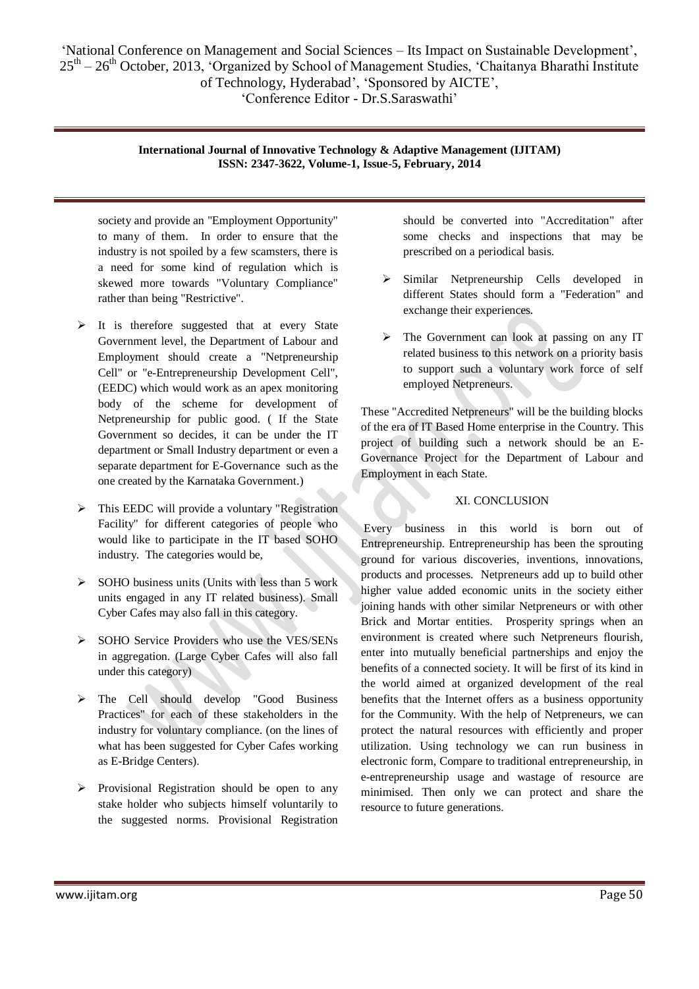society and provide an "Employment Opportunity" to many of them. In order to ensure that the industry is not spoiled by a few scamsters, there is a need for some kind of regulation which is skewed more towards "Voluntary Compliance" rather than being "Restrictive".

- $\triangleright$  It is therefore suggested that at every State Government level, the Department of Labour and Employment should create a "Netpreneurship Cell" or "e-Entrepreneurship Development Cell", (EEDC) which would work as an apex monitoring body of the scheme for development of Netpreneurship for public good. ( If the State Government so decides, it can be under the IT department or Small Industry department or even a separate department for E-Governance such as the one created by the Karnataka Government.)
- $\triangleright$  This EEDC will provide a voluntary "Registration" Facility" for different categories of people who would like to participate in the IT based SOHO industry. The categories would be,
- $\triangleright$  SOHO business units (Units with less than 5 work units engaged in any IT related business). Small Cyber Cafes may also fall in this category.
- $\triangleright$  SOHO Service Providers who use the VES/SENs in aggregation. (Large Cyber Cafes will also fall under this category)
- The Cell should develop "Good Business Practices" for each of these stakeholders in the industry for voluntary compliance. (on the lines of what has been suggested for Cyber Cafes working as E-Bridge Centers).
- $\triangleright$  Provisional Registration should be open to any stake holder who subjects himself voluntarily to the suggested norms. Provisional Registration

should be converted into "Accreditation" after some checks and inspections that may be prescribed on a periodical basis.

- $\triangleright$  Similar Netpreneurship Cells developed in different States should form a "Federation" and exchange their experiences.
- > The Government can look at passing on any IT related business to this network on a priority basis to support such a voluntary work force of self employed Netpreneurs.

These "Accredited Netpreneurs" will be the building blocks of the era of IT Based Home enterprise in the Country. This project of building such a network should be an E-Governance Project for the Department of Labour and Employment in each State.

# XI. CONCLUSION

Every business in this world is born out of Entrepreneurship. Entrepreneurship has been the sprouting ground for various discoveries, inventions, innovations, products and processes. Netpreneurs add up to build other higher value added economic units in the society either joining hands with other similar Netpreneurs or with other Brick and Mortar entities. Prosperity springs when an environment is created where such Netpreneurs flourish, enter into mutually beneficial partnerships and enjoy the benefits of a connected society. It will be first of its kind in the world aimed at organized development of the real benefits that the Internet offers as a business opportunity for the Community. With the help of Netpreneurs, we can protect the natural resources with efficiently and proper utilization. Using technology we can run business in electronic form, Compare to traditional entrepreneurship, in e-entrepreneurship usage and wastage of resource are minimised. Then only we can protect and share the resource to future generations.